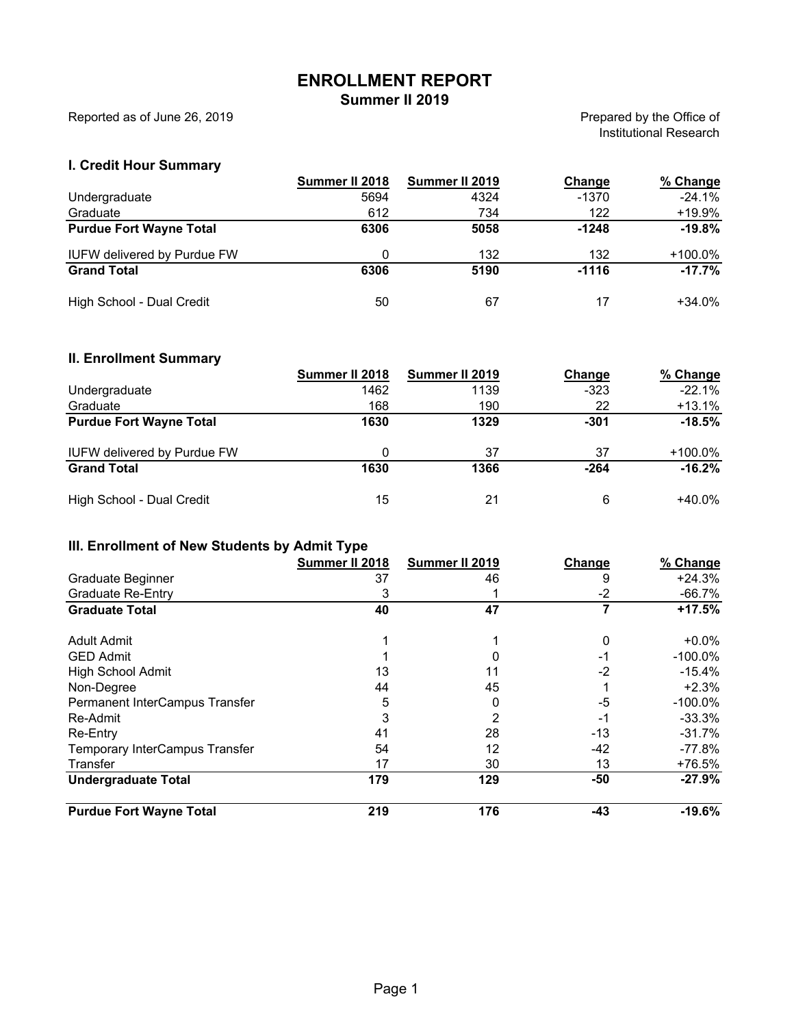# **ENROLLMENT REPORT**

**Summer II 2019**

Reported as of June 26, 2019

Prepared by the Office of Institutional Research

#### **I. Credit Hour Summary**

|                                    | Summer II 2018 | Summer II 2019 | Change  | % Change   |
|------------------------------------|----------------|----------------|---------|------------|
| Undergraduate                      | 5694           | 4324           | $-1370$ | $-24.1%$   |
| Graduate                           | 612            | 734            | 122     | +19.9%     |
| <b>Purdue Fort Wayne Total</b>     | 6306           | 5058           | $-1248$ | $-19.8%$   |
| <b>IUFW delivered by Purdue FW</b> | 0              | 132            | 132     | $+100.0\%$ |
| <b>Grand Total</b>                 | 6306           | 5190           | $-1116$ | $-17.7\%$  |
| High School - Dual Credit          | 50             | 67             |         | $+34.0\%$  |

#### **II. Enrollment Summary**

|                                    | Summer II 2018 | Summer II 2019 | Change | % Change |
|------------------------------------|----------------|----------------|--------|----------|
| Undergraduate                      | 1462           | 1139           | $-323$ | $-22.1%$ |
| Graduate                           | 168            | 190            | 22     | $+13.1%$ |
| <b>Purdue Fort Wayne Total</b>     | 1630           | 1329           | $-301$ | $-18.5%$ |
| <b>IUFW delivered by Purdue FW</b> | 0              | 37             | 37     | +100.0%  |
| <b>Grand Total</b>                 | 1630           | 1366           | $-264$ | $-16.2%$ |
| High School - Dual Credit          | 15             | 21             | 6      | +40.0%   |

## **III. Enrollment of New Students by Admit Type**

|                                | Summer II 2018 | Summer II 2019 | Change | % Change   |
|--------------------------------|----------------|----------------|--------|------------|
| Graduate Beginner              | 37             | 46             | 9      | $+24.3%$   |
| <b>Graduate Re-Entry</b>       | 3              |                | $-2$   | $-66.7%$   |
| <b>Graduate Total</b>          | 40             | 47             |        | +17.5%     |
|                                |                |                |        |            |
| Adult Admit                    |                |                | 0      | $+0.0\%$   |
| <b>GED Admit</b>               |                |                | -1     | $-100.0\%$ |
| <b>High School Admit</b>       | 13             | 11             | $-2$   | $-15.4%$   |
| Non-Degree                     | 44             | 45             |        | $+2.3%$    |
| Permanent InterCampus Transfer | 5              |                | -5     | $-100.0\%$ |
| Re-Admit                       | 3              |                | -1     | $-33.3\%$  |
| Re-Entry                       | 41             | 28             | $-13$  | $-31.7%$   |
| Temporary InterCampus Transfer | 54             | 12             | -42    | -77.8%     |
| Transfer                       | 17             | 30             | 13     | $+76.5%$   |
| <b>Undergraduate Total</b>     | 179            | 129            | -50    | $-27.9%$   |
| <b>Purdue Fort Wayne Total</b> | 219            | 176            | -43    | $-19.6%$   |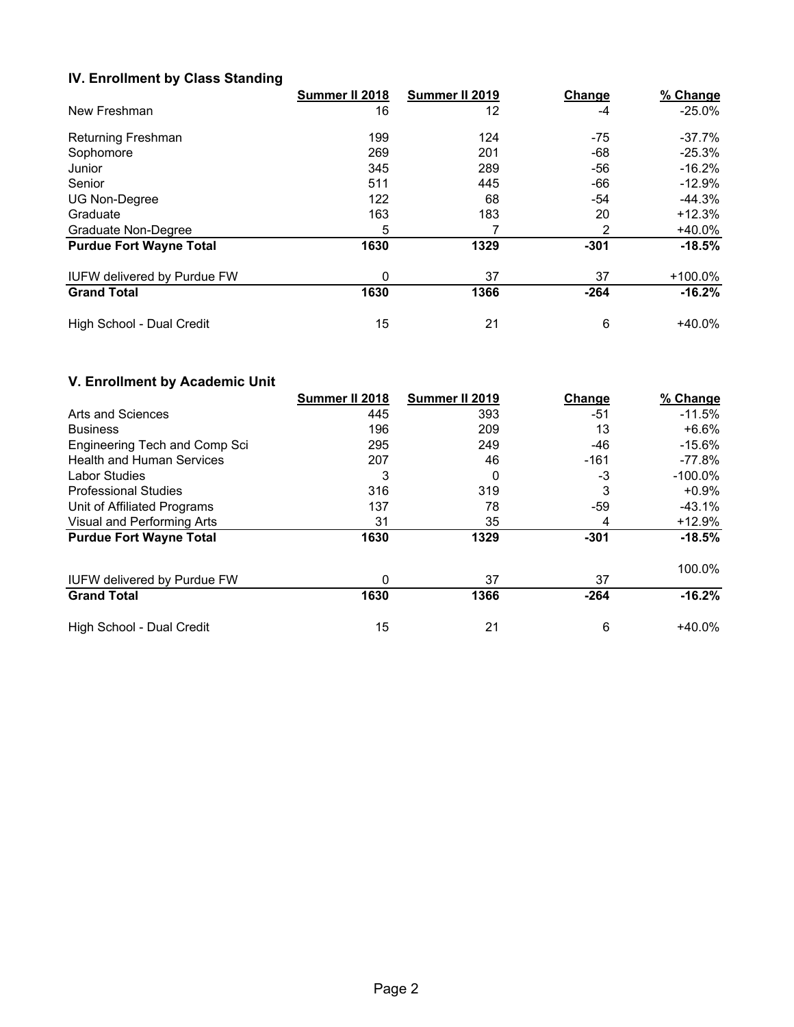#### **IV. Enrollment by Class Standing**

|                                    | Summer II 2018 | Summer II 2019 | Change | % Change   |
|------------------------------------|----------------|----------------|--------|------------|
| New Freshman                       | 16             | 12             | -4     | $-25.0\%$  |
| Returning Freshman                 | 199            | 124            | -75    | $-37.7\%$  |
| Sophomore                          | 269            | 201            | -68    | $-25.3%$   |
| Junior                             | 345            | 289            | -56    | $-16.2\%$  |
| Senior                             | 511            | 445            | -66    | $-12.9\%$  |
| <b>UG Non-Degree</b>               | 122            | 68             | -54    | $-44.3%$   |
| Graduate                           | 163            | 183            | 20     | $+12.3%$   |
| Graduate Non-Degree                | 5              |                | 2      | $+40.0%$   |
| <b>Purdue Fort Wayne Total</b>     | 1630           | 1329           | $-301$ | $-18.5%$   |
| <b>IUFW delivered by Purdue FW</b> | 0              | 37             | 37     | $+100.0\%$ |
| <b>Grand Total</b>                 | 1630           | 1366           | $-264$ | $-16.2%$   |
| High School - Dual Credit          | 15             | 21             | 6      | $+40.0\%$  |

# **V. Enrollment by Academic Unit**

|                                    | Summer II 2018 | Summer II 2019 | Change | % Change   |
|------------------------------------|----------------|----------------|--------|------------|
| Arts and Sciences                  | 445            | 393            | -51    | $-11.5%$   |
| <b>Business</b>                    | 196            | 209            | 13     | $+6.6\%$   |
| Engineering Tech and Comp Sci      | 295            | 249            | -46    | $-15.6\%$  |
| <b>Health and Human Services</b>   | 207            | 46             | $-161$ | -77.8%     |
| <b>Labor Studies</b>               | 3              | 0              | $-3$   | $-100.0\%$ |
| <b>Professional Studies</b>        | 316            | 319            | 3      | $+0.9%$    |
| Unit of Affiliated Programs        | 137            | 78             | $-59$  | -43.1%     |
| Visual and Performing Arts         | 31             | 35             | 4      | +12.9%     |
| <b>Purdue Fort Wayne Total</b>     | 1630           | 1329           | $-301$ | $-18.5%$   |
|                                    |                |                |        | 100.0%     |
| <b>IUFW delivered by Purdue FW</b> | 0              | 37             | 37     |            |
| <b>Grand Total</b>                 | 1630           | 1366           | $-264$ | $-16.2%$   |
| High School - Dual Credit          | 15             | 21             | 6      | $+40.0\%$  |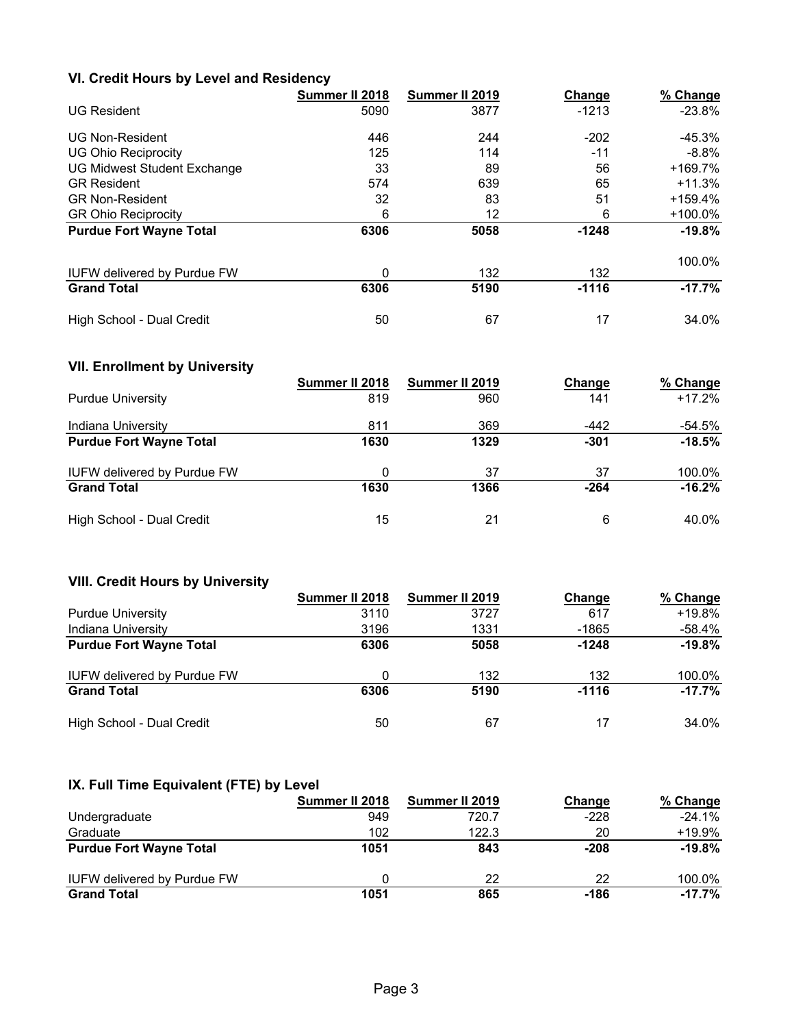### **VI. Credit Hours by Level and Residency**

|                                    | Summer II 2018 | Summer II 2019 | Change  | % Change   |
|------------------------------------|----------------|----------------|---------|------------|
| <b>UG Resident</b>                 | 5090           | 3877           | $-1213$ | $-23.8%$   |
| <b>UG Non-Resident</b>             | 446            | 244            | $-202$  | -45.3%     |
| <b>UG Ohio Reciprocity</b>         | 125            | 114            | $-11$   | $-8.8\%$   |
| UG Midwest Student Exchange        | 33             | 89             | 56      | $+169.7%$  |
| <b>GR Resident</b>                 | 574            | 639            | 65      | $+11.3%$   |
| <b>GR Non-Resident</b>             | 32             | 83             | 51      | $+159.4%$  |
| <b>GR Ohio Reciprocity</b>         | 6              | 12             | 6       | $+100.0\%$ |
| <b>Purdue Fort Wayne Total</b>     | 6306           | 5058           | $-1248$ | $-19.8%$   |
|                                    |                |                |         | 100.0%     |
| <b>IUFW delivered by Purdue FW</b> | 0              | 132            | 132     |            |
| <b>Grand Total</b>                 | 6306           | 5190           | $-1116$ | $-17.7%$   |
| High School - Dual Credit          | 50             | 67             | 17      | 34.0%      |

# **VII. Enrollment by University**

|                                    | Summer II 2018 | Summer II 2019 | Change | % Change |
|------------------------------------|----------------|----------------|--------|----------|
| <b>Purdue University</b>           | 819            | 960            | 141    | $+17.2%$ |
| Indiana University                 | 811            | 369            | $-442$ | -54.5%   |
| <b>Purdue Fort Wayne Total</b>     | 1630           | 1329           | $-301$ | $-18.5%$ |
| <b>IUFW delivered by Purdue FW</b> | 0              | 37             | 37     | 100.0%   |
| <b>Grand Total</b>                 | 1630           | 1366           | $-264$ | $-16.2%$ |
| High School - Dual Credit          | 15             | 21             | 6      | 40.0%    |

# **VIII. Credit Hours by University**

|                                    | Summer II 2018 | Summer II 2019 | Change  | % Change  |
|------------------------------------|----------------|----------------|---------|-----------|
| <b>Purdue University</b>           | 3110           | 3727           | 617     | +19.8%    |
| Indiana University                 | 3196           | 1331           | $-1865$ | -58.4%    |
| <b>Purdue Fort Wayne Total</b>     | 6306           | 5058           | $-1248$ | $-19.8%$  |
| <b>IUFW delivered by Purdue FW</b> | 0              | 132            | 132     | 100.0%    |
| <b>Grand Total</b>                 | 6306           | 5190           | $-1116$ | $-17.7\%$ |
| High School - Dual Credit          | 50             | 67             | 17      | 34.0%     |

#### **IX. Full Time Equivalent (FTE) by Level**

|                                    | Summer II 2018 | Summer II 2019 | Change | % Change  |
|------------------------------------|----------------|----------------|--------|-----------|
| Undergraduate                      | 949            | 720.7          | $-228$ | $-24.1%$  |
| Graduate                           | 102            | 122.3          | 20     | $+19.9\%$ |
| <b>Purdue Fort Wayne Total</b>     | 1051           | 843            | $-208$ | $-19.8%$  |
| <b>IUFW delivered by Purdue FW</b> |                | 22             | 22     | 100.0%    |
| <b>Grand Total</b>                 | 1051           | 865            | -186   | $-17.7\%$ |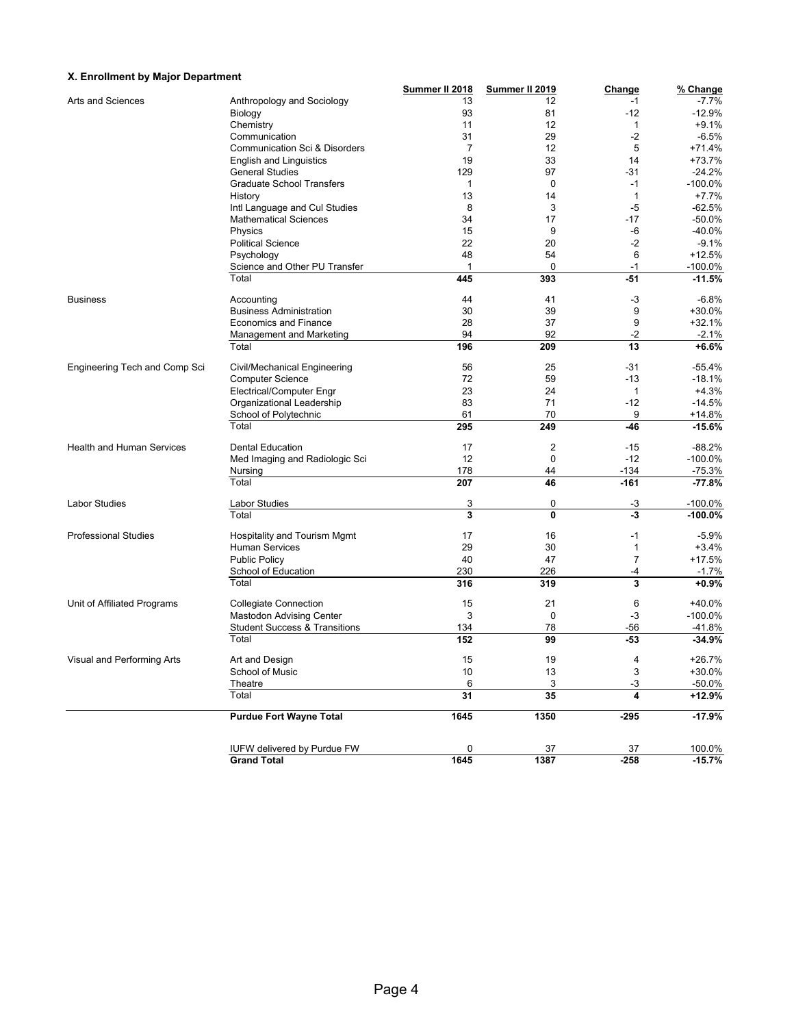#### **X. Enrollment by Major Department**

| A. Enforment by major Department |                                    |                                                                                                                                                                                                                                                                                                                                                                                                                                                                                                                                                                                                                                                                                                                                                                                                                                                                                                                                                                                                                                                                                                                                                                                                                                                                                                                                                                                                                                                             |              |           | % Change           |
|----------------------------------|------------------------------------|-------------------------------------------------------------------------------------------------------------------------------------------------------------------------------------------------------------------------------------------------------------------------------------------------------------------------------------------------------------------------------------------------------------------------------------------------------------------------------------------------------------------------------------------------------------------------------------------------------------------------------------------------------------------------------------------------------------------------------------------------------------------------------------------------------------------------------------------------------------------------------------------------------------------------------------------------------------------------------------------------------------------------------------------------------------------------------------------------------------------------------------------------------------------------------------------------------------------------------------------------------------------------------------------------------------------------------------------------------------------------------------------------------------------------------------------------------------|--------------|-----------|--------------------|
| Arts and Sciences                |                                    |                                                                                                                                                                                                                                                                                                                                                                                                                                                                                                                                                                                                                                                                                                                                                                                                                                                                                                                                                                                                                                                                                                                                                                                                                                                                                                                                                                                                                                                             |              |           | -7.7%              |
|                                  | Biology                            |                                                                                                                                                                                                                                                                                                                                                                                                                                                                                                                                                                                                                                                                                                                                                                                                                                                                                                                                                                                                                                                                                                                                                                                                                                                                                                                                                                                                                                                             |              |           | $-12.9%$           |
|                                  | Chemistry                          |                                                                                                                                                                                                                                                                                                                                                                                                                                                                                                                                                                                                                                                                                                                                                                                                                                                                                                                                                                                                                                                                                                                                                                                                                                                                                                                                                                                                                                                             |              |           | $+9.1%$            |
|                                  | Communication                      |                                                                                                                                                                                                                                                                                                                                                                                                                                                                                                                                                                                                                                                                                                                                                                                                                                                                                                                                                                                                                                                                                                                                                                                                                                                                                                                                                                                                                                                             |              |           | $-6.5%$            |
|                                  |                                    |                                                                                                                                                                                                                                                                                                                                                                                                                                                                                                                                                                                                                                                                                                                                                                                                                                                                                                                                                                                                                                                                                                                                                                                                                                                                                                                                                                                                                                                             |              |           | $+71.4%$           |
|                                  |                                    |                                                                                                                                                                                                                                                                                                                                                                                                                                                                                                                                                                                                                                                                                                                                                                                                                                                                                                                                                                                                                                                                                                                                                                                                                                                                                                                                                                                                                                                             |              |           | +73.7%             |
|                                  | <b>General Studies</b>             |                                                                                                                                                                                                                                                                                                                                                                                                                                                                                                                                                                                                                                                                                                                                                                                                                                                                                                                                                                                                                                                                                                                                                                                                                                                                                                                                                                                                                                                             |              |           | $-24.2%$           |
|                                  |                                    |                                                                                                                                                                                                                                                                                                                                                                                                                                                                                                                                                                                                                                                                                                                                                                                                                                                                                                                                                                                                                                                                                                                                                                                                                                                                                                                                                                                                                                                             |              |           | $-100.0\%$         |
|                                  |                                    |                                                                                                                                                                                                                                                                                                                                                                                                                                                                                                                                                                                                                                                                                                                                                                                                                                                                                                                                                                                                                                                                                                                                                                                                                                                                                                                                                                                                                                                             |              |           | $+7.7%$            |
|                                  | History                            |                                                                                                                                                                                                                                                                                                                                                                                                                                                                                                                                                                                                                                                                                                                                                                                                                                                                                                                                                                                                                                                                                                                                                                                                                                                                                                                                                                                                                                                             |              |           |                    |
|                                  |                                    |                                                                                                                                                                                                                                                                                                                                                                                                                                                                                                                                                                                                                                                                                                                                                                                                                                                                                                                                                                                                                                                                                                                                                                                                                                                                                                                                                                                                                                                             |              |           | $-62.5%$           |
|                                  |                                    |                                                                                                                                                                                                                                                                                                                                                                                                                                                                                                                                                                                                                                                                                                                                                                                                                                                                                                                                                                                                                                                                                                                                                                                                                                                                                                                                                                                                                                                             |              |           | $-50.0%$           |
|                                  | Physics                            |                                                                                                                                                                                                                                                                                                                                                                                                                                                                                                                                                                                                                                                                                                                                                                                                                                                                                                                                                                                                                                                                                                                                                                                                                                                                                                                                                                                                                                                             |              |           | $-40.0%$           |
|                                  | <b>Political Science</b>           |                                                                                                                                                                                                                                                                                                                                                                                                                                                                                                                                                                                                                                                                                                                                                                                                                                                                                                                                                                                                                                                                                                                                                                                                                                                                                                                                                                                                                                                             |              |           | $-9.1%$            |
|                                  | Psychology                         |                                                                                                                                                                                                                                                                                                                                                                                                                                                                                                                                                                                                                                                                                                                                                                                                                                                                                                                                                                                                                                                                                                                                                                                                                                                                                                                                                                                                                                                             |              |           | $+12.5%$           |
|                                  |                                    |                                                                                                                                                                                                                                                                                                                                                                                                                                                                                                                                                                                                                                                                                                                                                                                                                                                                                                                                                                                                                                                                                                                                                                                                                                                                                                                                                                                                                                                             |              |           | $-100.0\%$         |
|                                  | Total                              |                                                                                                                                                                                                                                                                                                                                                                                                                                                                                                                                                                                                                                                                                                                                                                                                                                                                                                                                                                                                                                                                                                                                                                                                                                                                                                                                                                                                                                                             |              |           | $-11.5%$           |
| <b>Business</b>                  | Accounting                         | 44                                                                                                                                                                                                                                                                                                                                                                                                                                                                                                                                                                                                                                                                                                                                                                                                                                                                                                                                                                                                                                                                                                                                                                                                                                                                                                                                                                                                                                                          | 41           | -3        | $-6.8%$            |
|                                  | <b>Business Administration</b>     | 30                                                                                                                                                                                                                                                                                                                                                                                                                                                                                                                                                                                                                                                                                                                                                                                                                                                                                                                                                                                                                                                                                                                                                                                                                                                                                                                                                                                                                                                          | 39           | 9         | $+30.0%$           |
|                                  | Economics and Finance              | 28                                                                                                                                                                                                                                                                                                                                                                                                                                                                                                                                                                                                                                                                                                                                                                                                                                                                                                                                                                                                                                                                                                                                                                                                                                                                                                                                                                                                                                                          | 37           | 9         | $+32.1%$           |
|                                  | Management and Marketing           | 94                                                                                                                                                                                                                                                                                                                                                                                                                                                                                                                                                                                                                                                                                                                                                                                                                                                                                                                                                                                                                                                                                                                                                                                                                                                                                                                                                                                                                                                          | 92           | $-2$      | $-2.1%$            |
|                                  | Total                              | 196                                                                                                                                                                                                                                                                                                                                                                                                                                                                                                                                                                                                                                                                                                                                                                                                                                                                                                                                                                                                                                                                                                                                                                                                                                                                                                                                                                                                                                                         | 209          | 13        | $+6.6%$            |
| Engineering Tech and Comp Sci    | Civil/Mechanical Engineering       |                                                                                                                                                                                                                                                                                                                                                                                                                                                                                                                                                                                                                                                                                                                                                                                                                                                                                                                                                                                                                                                                                                                                                                                                                                                                                                                                                                                                                                                             |              |           | -55.4%             |
|                                  | <b>Computer Science</b>            |                                                                                                                                                                                                                                                                                                                                                                                                                                                                                                                                                                                                                                                                                                                                                                                                                                                                                                                                                                                                                                                                                                                                                                                                                                                                                                                                                                                                                                                             |              |           | $-18.1%$           |
|                                  | Electrical/Computer Engr           |                                                                                                                                                                                                                                                                                                                                                                                                                                                                                                                                                                                                                                                                                                                                                                                                                                                                                                                                                                                                                                                                                                                                                                                                                                                                                                                                                                                                                                                             |              |           | $+4.3%$            |
|                                  |                                    |                                                                                                                                                                                                                                                                                                                                                                                                                                                                                                                                                                                                                                                                                                                                                                                                                                                                                                                                                                                                                                                                                                                                                                                                                                                                                                                                                                                                                                                             |              |           | $-14.5%$           |
|                                  | School of Polytechnic              |                                                                                                                                                                                                                                                                                                                                                                                                                                                                                                                                                                                                                                                                                                                                                                                                                                                                                                                                                                                                                                                                                                                                                                                                                                                                                                                                                                                                                                                             |              |           | $+14.8%$           |
|                                  | Total                              | 295                                                                                                                                                                                                                                                                                                                                                                                                                                                                                                                                                                                                                                                                                                                                                                                                                                                                                                                                                                                                                                                                                                                                                                                                                                                                                                                                                                                                                                                         | 249          | -46       | $-15.6%$           |
|                                  | <b>Dental Education</b>            |                                                                                                                                                                                                                                                                                                                                                                                                                                                                                                                                                                                                                                                                                                                                                                                                                                                                                                                                                                                                                                                                                                                                                                                                                                                                                                                                                                                                                                                             |              |           | $-88.2%$           |
|                                  |                                    |                                                                                                                                                                                                                                                                                                                                                                                                                                                                                                                                                                                                                                                                                                                                                                                                                                                                                                                                                                                                                                                                                                                                                                                                                                                                                                                                                                                                                                                             |              |           | $-100.0%$          |
| <b>Health and Human Services</b> | Nursing                            |                                                                                                                                                                                                                                                                                                                                                                                                                                                                                                                                                                                                                                                                                                                                                                                                                                                                                                                                                                                                                                                                                                                                                                                                                                                                                                                                                                                                                                                             |              |           | $-75.3%$           |
|                                  | Total                              | 207                                                                                                                                                                                                                                                                                                                                                                                                                                                                                                                                                                                                                                                                                                                                                                                                                                                                                                                                                                                                                                                                                                                                                                                                                                                                                                                                                                                                                                                         | 46           | $-161$    | $-77.8%$           |
| Labor Studies                    | <b>Labor Studies</b>               |                                                                                                                                                                                                                                                                                                                                                                                                                                                                                                                                                                                                                                                                                                                                                                                                                                                                                                                                                                                                                                                                                                                                                                                                                                                                                                                                                                                                                                                             |              |           | $-100.0\%$         |
|                                  | Total                              | 3                                                                                                                                                                                                                                                                                                                                                                                                                                                                                                                                                                                                                                                                                                                                                                                                                                                                                                                                                                                                                                                                                                                                                                                                                                                                                                                                                                                                                                                           | $\mathbf{0}$ | J,        | $-100.0%$          |
| <b>Professional Studies</b>      |                                    |                                                                                                                                                                                                                                                                                                                                                                                                                                                                                                                                                                                                                                                                                                                                                                                                                                                                                                                                                                                                                                                                                                                                                                                                                                                                                                                                                                                                                                                             |              |           | $-5.9%$            |
|                                  |                                    |                                                                                                                                                                                                                                                                                                                                                                                                                                                                                                                                                                                                                                                                                                                                                                                                                                                                                                                                                                                                                                                                                                                                                                                                                                                                                                                                                                                                                                                             |              |           | $+3.4%$            |
|                                  |                                    |                                                                                                                                                                                                                                                                                                                                                                                                                                                                                                                                                                                                                                                                                                                                                                                                                                                                                                                                                                                                                                                                                                                                                                                                                                                                                                                                                                                                                                                             |              |           | $+17.5%$           |
|                                  |                                    |                                                                                                                                                                                                                                                                                                                                                                                                                                                                                                                                                                                                                                                                                                                                                                                                                                                                                                                                                                                                                                                                                                                                                                                                                                                                                                                                                                                                                                                             |              |           |                    |
|                                  | Total                              |                                                                                                                                                                                                                                                                                                                                                                                                                                                                                                                                                                                                                                                                                                                                                                                                                                                                                                                                                                                                                                                                                                                                                                                                                                                                                                                                                                                                                                                             |              |           | $-1.7%$<br>$+0.9%$ |
|                                  |                                    |                                                                                                                                                                                                                                                                                                                                                                                                                                                                                                                                                                                                                                                                                                                                                                                                                                                                                                                                                                                                                                                                                                                                                                                                                                                                                                                                                                                                                                                             |              |           |                    |
| Unit of Affiliated Programs      |                                    |                                                                                                                                                                                                                                                                                                                                                                                                                                                                                                                                                                                                                                                                                                                                                                                                                                                                                                                                                                                                                                                                                                                                                                                                                                                                                                                                                                                                                                                             |              |           | +40.0%             |
|                                  |                                    |                                                                                                                                                                                                                                                                                                                                                                                                                                                                                                                                                                                                                                                                                                                                                                                                                                                                                                                                                                                                                                                                                                                                                                                                                                                                                                                                                                                                                                                             |              |           | $-100.0\%$         |
|                                  |                                    |                                                                                                                                                                                                                                                                                                                                                                                                                                                                                                                                                                                                                                                                                                                                                                                                                                                                                                                                                                                                                                                                                                                                                                                                                                                                                                                                                                                                                                                             |              |           | $-41.8%$           |
|                                  | Total                              |                                                                                                                                                                                                                                                                                                                                                                                                                                                                                                                                                                                                                                                                                                                                                                                                                                                                                                                                                                                                                                                                                                                                                                                                                                                                                                                                                                                                                                                             |              |           | $-34.9%$           |
| Visual and Performing Arts       | Art and Design                     | 15                                                                                                                                                                                                                                                                                                                                                                                                                                                                                                                                                                                                                                                                                                                                                                                                                                                                                                                                                                                                                                                                                                                                                                                                                                                                                                                                                                                                                                                          | 19           | $\lambda$ | $+26.7%$           |
|                                  | School of Music                    | 10                                                                                                                                                                                                                                                                                                                                                                                                                                                                                                                                                                                                                                                                                                                                                                                                                                                                                                                                                                                                                                                                                                                                                                                                                                                                                                                                                                                                                                                          | 13           |           | $+30.0%$           |
|                                  | Theatre                            |                                                                                                                                                                                                                                                                                                                                                                                                                                                                                                                                                                                                                                                                                                                                                                                                                                                                                                                                                                                                                                                                                                                                                                                                                                                                                                                                                                                                                                                             |              |           | $-50.0%$           |
|                                  | Total                              | Summer II 2018<br>Summer II 2019<br>Change<br>13<br>Anthropology and Sociology<br>12<br>$-1$<br>93<br>$-12$<br>81<br>12<br>11<br>$\mathbf{1}$<br>31<br>29<br>$-2$<br>12<br>5<br>Communication Sci & Disorders<br>7<br>19<br>33<br>14<br><b>English and Linguistics</b><br>129<br>97<br>-31<br>$\mathbf 0$<br><b>Graduate School Transfers</b><br>$\mathbf{1}$<br>$-1$<br>$\mathbf{1}$<br>13<br>14<br>3<br>$-5$<br>Intl Language and Cul Studies<br>8<br><b>Mathematical Sciences</b><br>$-17$<br>34<br>17<br>15<br>-6<br>9<br>22<br>$-2$<br>20<br>48<br>54<br>6<br>$\mathbf 0$<br>Science and Other PU Transfer<br>1<br>$-1$<br>$-51$<br>445<br>393<br>56<br>25<br>$-31$<br>72<br>59<br>$-13$<br>23<br>24<br>1<br>71<br>Organizational Leadership<br>83<br>$-12$<br>70<br>61<br>9<br>17<br>$\overline{2}$<br>$-15$<br>$-12$<br>12<br>0<br>Med Imaging and Radiologic Sci<br>178<br>$-134$<br>44<br>3<br>0<br>-3<br>Hospitality and Tourism Mgmt<br>17<br>16<br>$-1$<br><b>Human Services</b><br>29<br>30<br>$\mathbf{1}$<br>$\overline{7}$<br>40<br>47<br><b>Public Policy</b><br>230<br>School of Education<br>226<br>-4<br>3<br>316<br>319<br><b>Collegiate Connection</b><br>15<br>21<br>6<br>Mastodon Advising Center<br>3<br>0<br>$-3$<br><b>Student Success &amp; Transitions</b><br>78<br>134<br>-56<br>152<br>99<br>$-53$<br>3<br>6<br>3<br>$-3$<br>31<br>35<br>4<br>1350<br>$-295$<br>1645<br>$\overline{0}$<br>37<br>37<br>1645<br>1387<br>$-258$ | +12.9%       |           |                    |
|                                  | <b>Purdue Fort Wayne Total</b>     |                                                                                                                                                                                                                                                                                                                                                                                                                                                                                                                                                                                                                                                                                                                                                                                                                                                                                                                                                                                                                                                                                                                                                                                                                                                                                                                                                                                                                                                             |              |           | $-17.9%$           |
|                                  | <b>IUFW delivered by Purdue FW</b> |                                                                                                                                                                                                                                                                                                                                                                                                                                                                                                                                                                                                                                                                                                                                                                                                                                                                                                                                                                                                                                                                                                                                                                                                                                                                                                                                                                                                                                                             |              |           | 100.0%             |
|                                  | <b>Grand Total</b>                 |                                                                                                                                                                                                                                                                                                                                                                                                                                                                                                                                                                                                                                                                                                                                                                                                                                                                                                                                                                                                                                                                                                                                                                                                                                                                                                                                                                                                                                                             |              |           | $-15.7%$           |
|                                  |                                    |                                                                                                                                                                                                                                                                                                                                                                                                                                                                                                                                                                                                                                                                                                                                                                                                                                                                                                                                                                                                                                                                                                                                                                                                                                                                                                                                                                                                                                                             |              |           |                    |